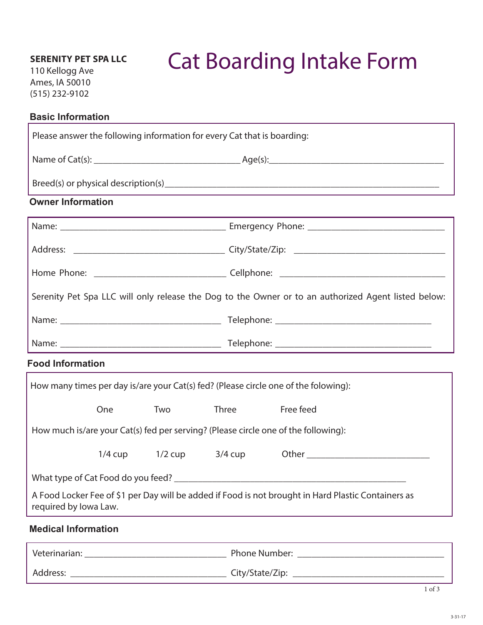## **SERENITY PET SPA LLC**

110 Kellogg Ave Ames, IA 50010 (515) 232-9102

# Cat Boarding Intake Form

#### **Basic Information**

| Please answer the following information for every Cat that is boarding:                                                      |     |     |                               |           |  |
|------------------------------------------------------------------------------------------------------------------------------|-----|-----|-------------------------------|-----------|--|
|                                                                                                                              |     |     |                               |           |  |
|                                                                                                                              |     |     |                               |           |  |
| <b>Owner Information</b>                                                                                                     |     |     |                               |           |  |
|                                                                                                                              |     |     |                               |           |  |
|                                                                                                                              |     |     |                               |           |  |
|                                                                                                                              |     |     |                               |           |  |
| Serenity Pet Spa LLC will only release the Dog to the Owner or to an authorized Agent listed below:                          |     |     |                               |           |  |
|                                                                                                                              |     |     |                               |           |  |
|                                                                                                                              |     |     |                               |           |  |
| <b>Food Information</b>                                                                                                      |     |     |                               |           |  |
| How many times per day is/are your Cat(s) fed? (Please circle one of the folowing):                                          |     |     |                               |           |  |
|                                                                                                                              | One | Two | <b>Three</b>                  | Free feed |  |
| How much is/are your Cat(s) fed per serving? (Please circle one of the following):                                           |     |     |                               |           |  |
|                                                                                                                              |     |     | $1/4$ cup $1/2$ cup $3/4$ cup |           |  |
| What type of Cat Food do you feed?                                                                                           |     |     |                               |           |  |
| A Food Locker Fee of \$1 per Day will be added if Food is not brought in Hard Plastic Containers as<br>required by Iowa Law. |     |     |                               |           |  |
| <b>Medical Information</b>                                                                                                   |     |     |                               |           |  |
|                                                                                                                              |     |     |                               |           |  |

Address: \_\_\_\_\_\_\_\_\_\_\_\_\_\_\_\_\_\_\_\_\_\_\_\_\_\_\_\_\_\_\_\_\_ City/State/Zip: \_\_\_\_\_\_\_\_\_\_\_\_\_\_\_\_\_\_\_\_\_\_\_\_\_\_\_\_\_\_\_\_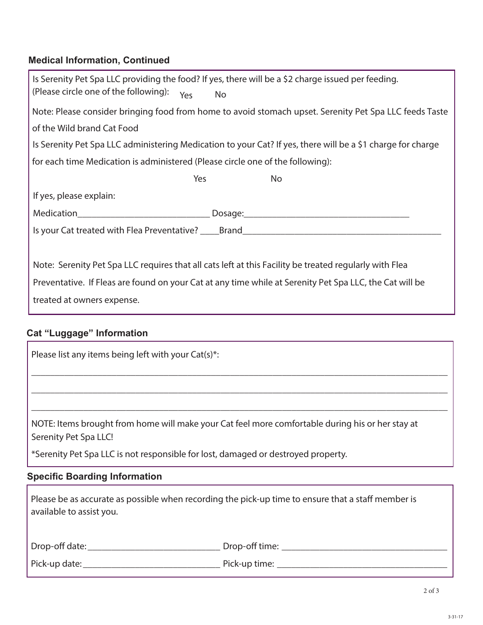# **Medical Information, Continued**

| Is Serenity Pet Spa LLC providing the food? If yes, there will be a \$2 charge issued per feeding.          |  |  |  |  |  |
|-------------------------------------------------------------------------------------------------------------|--|--|--|--|--|
| (Please circle one of the following):<br>Yes<br><b>No</b>                                                   |  |  |  |  |  |
| Note: Please consider bringing food from home to avoid stomach upset. Serenity Pet Spa LLC feeds Taste      |  |  |  |  |  |
| of the Wild brand Cat Food                                                                                  |  |  |  |  |  |
| Is Serenity Pet Spa LLC administering Medication to your Cat? If yes, there will be a \$1 charge for charge |  |  |  |  |  |
| for each time Medication is administered (Please circle one of the following):                              |  |  |  |  |  |
| Yes<br><b>No</b>                                                                                            |  |  |  |  |  |
| If yes, please explain:                                                                                     |  |  |  |  |  |
|                                                                                                             |  |  |  |  |  |
| Is your Cat treated with Flea Preventative? _____Brand___________________________                           |  |  |  |  |  |
|                                                                                                             |  |  |  |  |  |
| Note: Serenity Pet Spa LLC requires that all cats left at this Facility be treated regularly with Flea      |  |  |  |  |  |
| Preventative. If Fleas are found on your Cat at any time while at Serenity Pet Spa LLC, the Cat will be     |  |  |  |  |  |
| treated at owners expense.                                                                                  |  |  |  |  |  |
|                                                                                                             |  |  |  |  |  |
| <b>Cat "Luggage" Information</b>                                                                            |  |  |  |  |  |
| Please list any items being left with your Cat(s)*:                                                         |  |  |  |  |  |
|                                                                                                             |  |  |  |  |  |
|                                                                                                             |  |  |  |  |  |

NOTE: Items brought from home will make your Cat feel more comfortable during his or her stay at Serenity Pet Spa LLC!

\_\_\_\_\_\_\_\_\_\_\_\_\_\_\_\_\_\_\_\_\_\_\_\_\_\_\_\_\_\_\_\_\_\_\_\_\_\_\_\_\_\_\_\_\_\_\_\_\_\_\_\_\_\_\_\_\_\_\_\_\_\_\_\_\_\_\_\_\_\_\_\_\_\_\_\_\_\_\_\_\_\_\_\_\_\_\_\_

\_\_\_\_\_\_\_\_\_\_\_\_\_\_\_\_\_\_\_\_\_\_\_\_\_\_\_\_\_\_\_\_\_\_\_\_\_\_\_\_\_\_\_\_\_\_\_\_\_\_\_\_\_\_\_\_\_\_\_\_\_\_\_\_\_\_\_\_\_\_\_\_\_\_\_\_\_\_\_\_\_\_\_\_\_\_\_\_

\*Serenity Pet Spa LLC is not responsible for lost, damaged or destroyed property.

## **Specific Boarding Information**

| Please be as accurate as possible when recording the pick-up time to ensure that a staff member is |  |
|----------------------------------------------------------------------------------------------------|--|
| available to assist you.                                                                           |  |

| Drop-off date: | Drop-off time: |
|----------------|----------------|
| Pick-up date:  | Pick-up time:  |